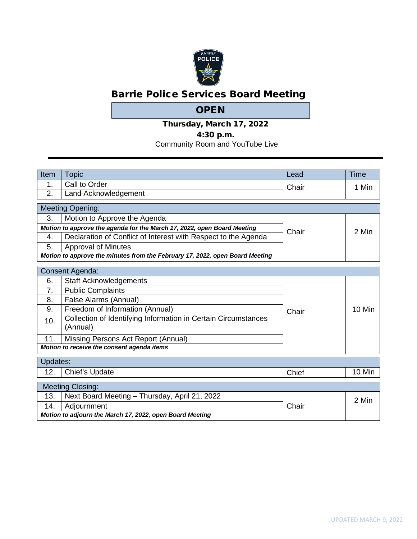

# Barrie Police Services Board Meeting

## **OPEN**

Thursday, March 17, 2022

## 4:30 p.m.

Community Room and YouTube Live

| Item           | <b>Topic</b>                                                                 | Lead  | <b>Time</b> |
|----------------|------------------------------------------------------------------------------|-------|-------------|
| 1.             | Call to Order                                                                | Chair | 1 Min       |
| 2.             | Land Acknowledgement                                                         |       |             |
|                | <b>Meeting Opening:</b>                                                      |       |             |
| 3.             | Motion to Approve the Agenda                                                 |       |             |
|                | Motion to approve the agenda for the March 17, 2022, open Board Meeting      | Chair | 2 Min       |
| 4.             | Declaration of Conflict of Interest with Respect to the Agenda               |       |             |
| 5.             | <b>Approval of Minutes</b>                                                   |       |             |
|                | Motion to approve the minutes from the February 17, 2022, open Board Meeting |       |             |
|                | Consent Agenda:                                                              |       |             |
| 6.             | <b>Staff Acknowledgements</b>                                                |       |             |
| 7 <sub>1</sub> | <b>Public Complaints</b>                                                     |       |             |
| 8.             | False Alarms (Annual)                                                        |       |             |
| 9.             | Freedom of Information (Annual)                                              | Chair | 10 Min      |
| 10.            | Collection of Identifying Information in Certain Circumstances<br>(Annual)   |       |             |
| 11.            | Missing Persons Act Report (Annual)                                          |       |             |
|                | Motion to receive the consent agenda items                                   |       |             |
| Updates:       |                                                                              |       |             |
| 12.            | Chief's Update                                                               | Chief | 10 Min      |
|                | <b>Meeting Closing:</b>                                                      |       |             |
| 13.            | Next Board Meeting - Thursday, April 21, 2022                                |       | 2 Min       |
| 14.            | Adjournment                                                                  | Chair |             |
|                | Motion to adjourn the March 17, 2022, open Board Meeting                     |       |             |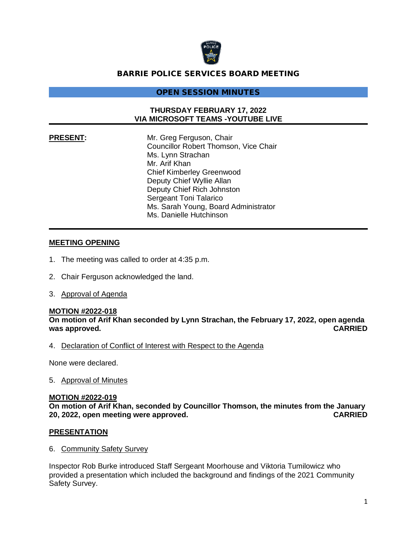

### BARRIE POLICE SERVICES BOARD MEETING

#### OPEN SESSION MINUTES

#### **THURSDAY FEBRUARY 17, 2022 VIA MICROSOFT TEAMS -YOUTUBE LIVE**

**PRESENT:** Mr. Greg Ferguson, Chair Councillor Robert Thomson, Vice Chair Ms. Lynn Strachan Mr. Arif Khan Chief Kimberley Greenwood Deputy Chief Wyllie Allan Deputy Chief Rich Johnston Sergeant Toni Talarico Ms. Sarah Young, Board Administrator Ms. Danielle Hutchinson

#### **MEETING OPENING**

- 1. The meeting was called to order at 4:35 p.m.
- 2. Chair Ferguson acknowledged the land.
- 3. Approval of Agenda

#### **MOTION #2022-018**

**On motion of Arif Khan seconded by Lynn Strachan, the February 17, 2022, open agenda was approved. CARRIED**

4. Declaration of Conflict of Interest with Respect to the Agenda

None were declared.

5. Approval of Minutes

#### **MOTION #2022-019**

**On motion of Arif Khan, seconded by Councillor Thomson, the minutes from the January 20, 2022, open meeting were approved. CARRIED**

#### **PRESENTATION**

6. Community Safety Survey

Inspector Rob Burke introduced Staff Sergeant Moorhouse and Viktoria Tumilowicz who provided a presentation which included the background and findings of the 2021 Community Safety Survey.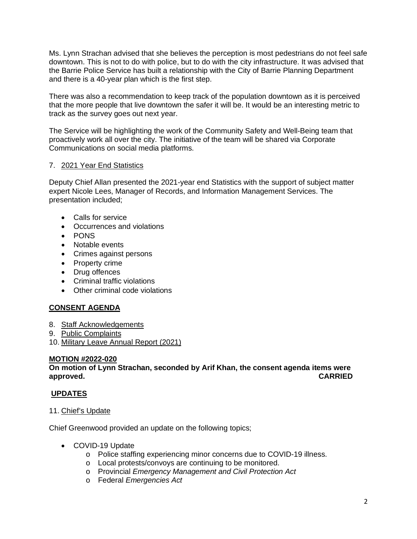Ms. Lynn Strachan advised that she believes the perception is most pedestrians do not feel safe downtown. This is not to do with police, but to do with the city infrastructure. It was advised that the Barrie Police Service has built a relationship with the City of Barrie Planning Department and there is a 40-year plan which is the first step.

There was also a recommendation to keep track of the population downtown as it is perceived that the more people that live downtown the safer it will be. It would be an interesting metric to track as the survey goes out next year.

The Service will be highlighting the work of the Community Safety and Well-Being team that proactively work all over the city. The initiative of the team will be shared via Corporate Communications on social media platforms.

#### 7. 2021 Year End Statistics

Deputy Chief Allan presented the 2021-year end Statistics with the support of subject matter expert Nicole Lees, Manager of Records, and Information Management Services. The presentation included;

- Calls for service
- Occurrences and violations
- PONS
- Notable events
- Crimes against persons
- Property crime
- Drug offences
- Criminal traffic violations
- Other criminal code violations

#### **CONSENT AGENDA**

- 8. Staff Acknowledgements
- 9. Public Complaints

10. Military Leave Annual Report (2021)

#### **MOTION #2022-020**

**On motion of Lynn Strachan, seconded by Arif Khan, the consent agenda items were approved. CARRIED**

#### **UPDATES**

#### 11. Chief's Update

Chief Greenwood provided an update on the following topics;

- COVID-19 Update
	- o Police staffing experiencing minor concerns due to COVID-19 illness.
	- o Local protests/convoys are continuing to be monitored.
	- o Provincial *Emergency Management and Civil Protection Act*
	- o Federal *Emergencies Act*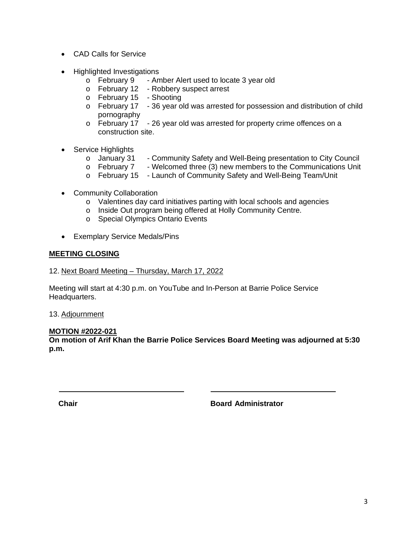- CAD Calls for Service
- Highlighted Investigations
	- o February 9 Amber Alert used to locate 3 year old
	- o February 12 Robbery suspect arrest
	- o February 15 Shooting
	- $\circ$  February 17 36 year old was arrested for possession and distribution of child pornography
	- o February 17 26 year old was arrested for property crime offences on a construction site.
- Service Highlights
	- o January 31 Community Safety and Well-Being presentation to City Council<br>
	o February 7 Welcomed three (3) new members to the Communications Unit
	- Welcomed three (3) new members to the Communications Unit
	- o February 15 Launch of Community Safety and Well-Being Team/Unit
- Community Collaboration
	- o Valentines day card initiatives parting with local schools and agencies
	- o Inside Out program being offered at Holly Community Centre.
	- o Special Olympics Ontario Events
- Exemplary Service Medals/Pins

#### **MEETING CLOSING**

12. Next Board Meeting – Thursday, March 17, 2022

Meeting will start at 4:30 p.m. on YouTube and In-Person at Barrie Police Service Headquarters.

13. Adjournment

#### **MOTION #2022-021**

**On motion of Arif Khan the Barrie Police Services Board Meeting was adjourned at 5:30 p.m.**

**Chair Board Administrator**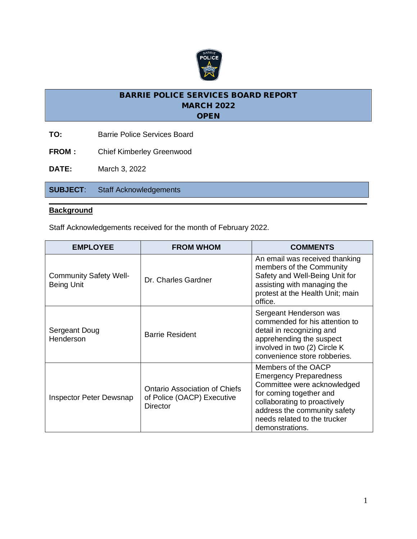

- **TO:** Barrie Police Services Board
- **FROM:** Chief Kimberley Greenwood

**DATE:** March 3, 2022

**SUBJECT**: Staff Acknowledgements

#### **Background**

Staff Acknowledgements received for the month of February 2022.

| <b>EMPLOYEE</b>                                    | <b>FROM WHOM</b>                                                               | <b>COMMENTS</b>                                                                                                                                                                                                                   |
|----------------------------------------------------|--------------------------------------------------------------------------------|-----------------------------------------------------------------------------------------------------------------------------------------------------------------------------------------------------------------------------------|
| <b>Community Safety Well-</b><br><b>Being Unit</b> | Dr. Charles Gardner                                                            | An email was received thanking<br>members of the Community<br>Safety and Well-Being Unit for<br>assisting with managing the<br>protest at the Health Unit; main<br>office.                                                        |
| Sergeant Doug<br>Henderson                         | <b>Barrie Resident</b>                                                         | Sergeant Henderson was<br>commended for his attention to<br>detail in recognizing and<br>apprehending the suspect<br>involved in two (2) Circle K<br>convenience store robberies.                                                 |
| Inspector Peter Dewsnap                            | Ontario Association of Chiefs<br>of Police (OACP) Executive<br><b>Director</b> | Members of the OACP<br><b>Emergency Preparedness</b><br>Committee were acknowledged<br>for coming together and<br>collaborating to proactively<br>address the community safety<br>needs related to the trucker<br>demonstrations. |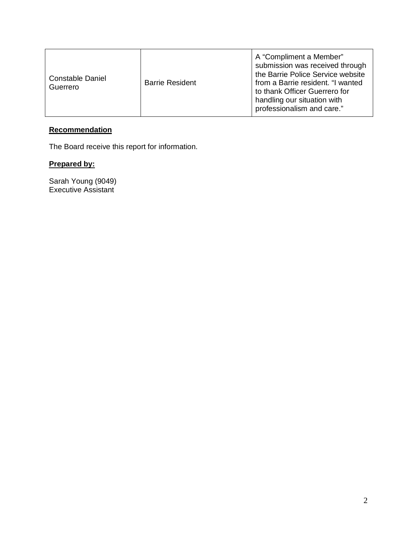| <b>Constable Daniel</b><br>Guerrero | <b>Barrie Resident</b> | A "Compliment a Member"<br>submission was received through<br>the Barrie Police Service website<br>from a Barrie resident. "I wanted<br>to thank Officer Guerrero for<br>handling our situation with<br>professionalism and care." |
|-------------------------------------|------------------------|------------------------------------------------------------------------------------------------------------------------------------------------------------------------------------------------------------------------------------|
|-------------------------------------|------------------------|------------------------------------------------------------------------------------------------------------------------------------------------------------------------------------------------------------------------------------|

## **Recommendation**

The Board receive this report for information.

## **Prepared by:**

Sarah Young (9049) Executive Assistant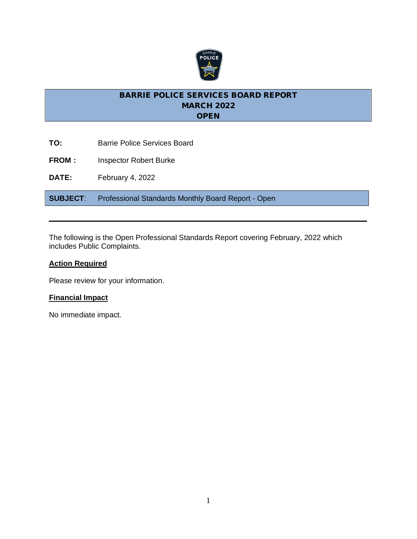

**TO:** Barrie Police Services Board **FROM:** Inspector Robert Burke **DATE:** February 4, 2022 **SUBJECT**: Professional Standards Monthly Board Report - Open

The following is the Open Professional Standards Report covering February, 2022 which includes Public Complaints.

## **Action Required**

Please review for your information.

## **Financial Impact**

No immediate impact.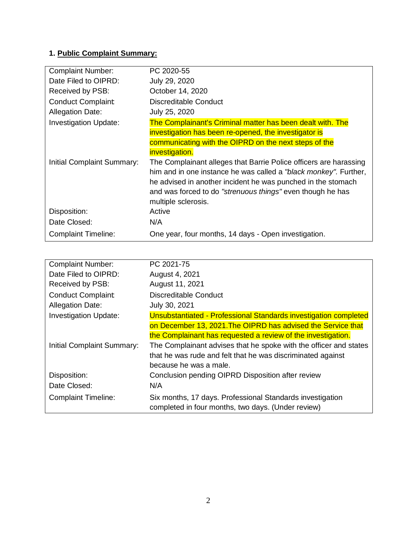## **1. Public Complaint Summary:**

| <b>Complaint Number:</b>     | PC 2020-55                                                        |
|------------------------------|-------------------------------------------------------------------|
| Date Filed to OIPRD:         | July 29, 2020                                                     |
| Received by PSB:             | October 14, 2020                                                  |
| <b>Conduct Complaint</b>     | <b>Discreditable Conduct</b>                                      |
| <b>Allegation Date:</b>      | July 25, 2020                                                     |
| <b>Investigation Update:</b> | The Complainant's Criminal matter has been dealt with. The        |
|                              | investigation has been re-opened, the investigator is             |
|                              | communicating with the OIPRD on the next steps of the             |
|                              | <b>investigation.</b>                                             |
| Initial Complaint Summary:   | The Complainant alleges that Barrie Police officers are harassing |
|                              | him and in one instance he was called a "black monkey". Further,  |
|                              | he advised in another incident he was punched in the stomach      |
|                              | and was forced to do "strenuous things" even though he has        |
|                              | multiple sclerosis.                                               |
| Disposition:                 | Active                                                            |
| Date Closed:                 | N/A                                                               |
| <b>Complaint Timeline:</b>   | One year, four months, 14 days - Open investigation.              |

| <b>Complaint Number:</b>     | PC 2021-75                                                        |
|------------------------------|-------------------------------------------------------------------|
| Date Filed to OIPRD:         | August 4, 2021                                                    |
| Received by PSB:             | August 11, 2021                                                   |
| <b>Conduct Complaint</b>     | Discreditable Conduct                                             |
| <b>Allegation Date:</b>      | July 30, 2021                                                     |
| <b>Investigation Update:</b> | Unsubstantiated - Professional Standards investigation completed  |
|                              | on December 13, 2021. The OIPRD has advised the Service that      |
|                              | the Complainant has requested a review of the investigation.      |
| Initial Complaint Summary:   | The Complainant advises that he spoke with the officer and states |
|                              | that he was rude and felt that he was discriminated against       |
|                              | because he was a male.                                            |
| Disposition:                 | Conclusion pending OIPRD Disposition after review                 |
| Date Closed:                 | N/A                                                               |
| <b>Complaint Timeline:</b>   | Six months, 17 days. Professional Standards investigation         |
|                              | completed in four months, two days. (Under review)                |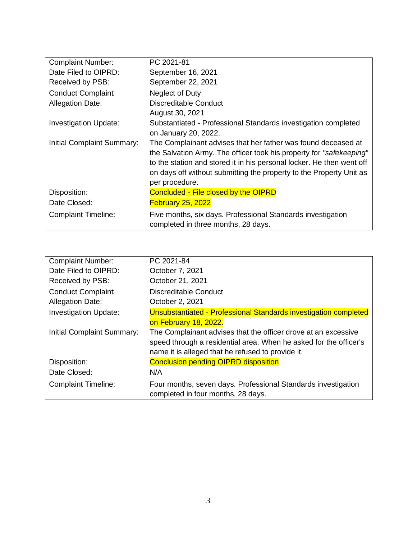| <b>Complaint Number:</b>     | PC 2021-81                                                            |
|------------------------------|-----------------------------------------------------------------------|
| Date Filed to OIPRD:         | September 16, 2021                                                    |
| Received by PSB:             | September 22, 2021                                                    |
| <b>Conduct Complaint</b>     | Neglect of Duty                                                       |
| <b>Allegation Date:</b>      | Discreditable Conduct                                                 |
|                              | August 30, 2021                                                       |
| <b>Investigation Update:</b> | Substantiated - Professional Standards investigation completed        |
|                              | on January 20, 2022.                                                  |
| Initial Complaint Summary:   | The Complainant advises that her father was found deceased at         |
|                              | the Salvation Army. The officer took his property for "safekeeping"   |
|                              | to the station and stored it in his personal locker. He then went off |
|                              | on days off without submitting the property to the Property Unit as   |
|                              | per procedure.                                                        |
| Disposition:                 | Concluded - File closed by the OIPRD                                  |
| Date Closed:                 | <b>February 25, 2022</b>                                              |
| <b>Complaint Timeline:</b>   | Five months, six days. Professional Standards investigation           |
|                              | completed in three months, 28 days.                                   |

| <b>Complaint Number:</b>     | PC 2021-84                                                                                                                                                                               |
|------------------------------|------------------------------------------------------------------------------------------------------------------------------------------------------------------------------------------|
| Date Filed to OIPRD:         | October 7, 2021                                                                                                                                                                          |
| Received by PSB:             | October 21, 2021                                                                                                                                                                         |
| <b>Conduct Complaint</b>     | <b>Discreditable Conduct</b>                                                                                                                                                             |
| <b>Allegation Date:</b>      | October 2, 2021                                                                                                                                                                          |
| <b>Investigation Update:</b> | Unsubstantiated - Professional Standards investigation completed                                                                                                                         |
|                              | on February 18, 2022.                                                                                                                                                                    |
| Initial Complaint Summary:   | The Complainant advises that the officer drove at an excessive<br>speed through a residential area. When he asked for the officer's<br>name it is alleged that he refused to provide it. |
| Disposition:                 | <b>Conclusion pending OIPRD disposition</b>                                                                                                                                              |
| Date Closed:                 | N/A                                                                                                                                                                                      |
| <b>Complaint Timeline:</b>   | Four months, seven days. Professional Standards investigation<br>completed in four months, 28 days.                                                                                      |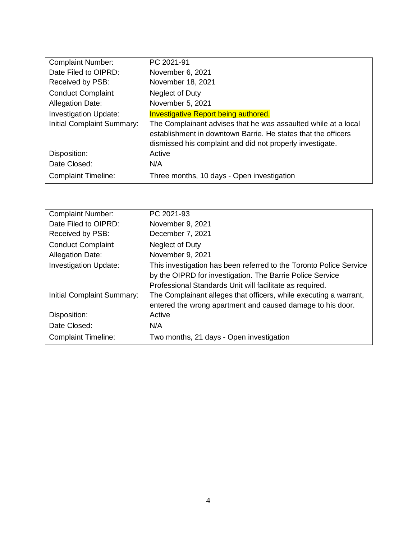| <b>Complaint Number:</b>     | PC 2021-91                                                                                                                                                                                   |
|------------------------------|----------------------------------------------------------------------------------------------------------------------------------------------------------------------------------------------|
| Date Filed to OIPRD:         | November 6, 2021                                                                                                                                                                             |
| Received by PSB:             | November 18, 2021                                                                                                                                                                            |
| <b>Conduct Complaint</b>     | Neglect of Duty                                                                                                                                                                              |
| <b>Allegation Date:</b>      | November 5, 2021                                                                                                                                                                             |
| <b>Investigation Update:</b> | <b>Investigative Report being authored.</b>                                                                                                                                                  |
| Initial Complaint Summary:   | The Complainant advises that he was assaulted while at a local<br>establishment in downtown Barrie. He states that the officers<br>dismissed his complaint and did not properly investigate. |
| Disposition:                 | Active                                                                                                                                                                                       |
| Date Closed:                 | N/A                                                                                                                                                                                          |
| <b>Complaint Timeline:</b>   | Three months, 10 days - Open investigation                                                                                                                                                   |

| <b>Complaint Number:</b>     | PC 2021-93                                                         |
|------------------------------|--------------------------------------------------------------------|
| Date Filed to OIPRD:         | November 9, 2021                                                   |
| Received by PSB:             | December 7, 2021                                                   |
| <b>Conduct Complaint</b>     | Neglect of Duty                                                    |
| <b>Allegation Date:</b>      | November 9, 2021                                                   |
| <b>Investigation Update:</b> | This investigation has been referred to the Toronto Police Service |
|                              | by the OIPRD for investigation. The Barrie Police Service          |
|                              | Professional Standards Unit will facilitate as required.           |
| Initial Complaint Summary:   | The Complainant alleges that officers, while executing a warrant,  |
|                              | entered the wrong apartment and caused damage to his door.         |
| Disposition:                 | Active                                                             |
| Date Closed:                 | N/A                                                                |
| <b>Complaint Timeline:</b>   | Two months, 21 days - Open investigation                           |
|                              |                                                                    |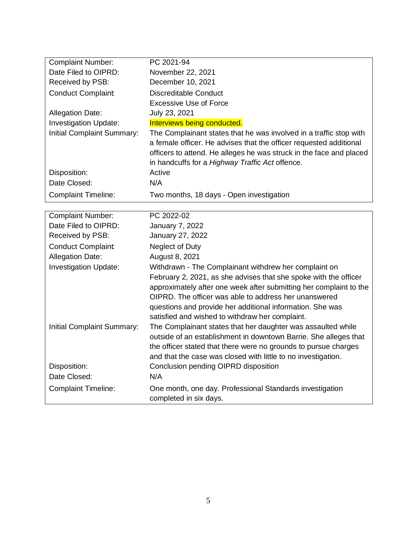| <b>Complaint Number:</b>     | PC 2021-94                                                          |
|------------------------------|---------------------------------------------------------------------|
| Date Filed to OIPRD:         | November 22, 2021                                                   |
| Received by PSB:             | December 10, 2021                                                   |
| <b>Conduct Complaint</b>     | Discreditable Conduct                                               |
|                              | <b>Excessive Use of Force</b>                                       |
| <b>Allegation Date:</b>      | July 23, 2021                                                       |
| <b>Investigation Update:</b> | Interviews being conducted.                                         |
| Initial Complaint Summary:   | The Complainant states that he was involved in a traffic stop with  |
|                              | a female officer. He advises that the officer requested additional  |
|                              | officers to attend. He alleges he was struck in the face and placed |
|                              | in handcuffs for a Highway Traffic Act offence.                     |
| Disposition:                 | Active                                                              |
| Date Closed:                 | N/A                                                                 |
| <b>Complaint Timeline:</b>   | Two months, 18 days - Open investigation                            |

| <b>Complaint Number:</b>     | PC 2022-02                                                         |
|------------------------------|--------------------------------------------------------------------|
| Date Filed to OIPRD:         | <b>January 7, 2022</b>                                             |
| Received by PSB:             | January 27, 2022                                                   |
| <b>Conduct Complaint</b>     | Neglect of Duty                                                    |
| <b>Allegation Date:</b>      | August 8, 2021                                                     |
| <b>Investigation Update:</b> | Withdrawn - The Complainant withdrew her complaint on              |
|                              | February 2, 2021, as she advises that she spoke with the officer   |
|                              | approximately after one week after submitting her complaint to the |
|                              | OIPRD. The officer was able to address her unanswered              |
|                              | questions and provide her additional information. She was          |
|                              | satisfied and wished to withdraw her complaint.                    |
| Initial Complaint Summary:   | The Complainant states that her daughter was assaulted while       |
|                              | outside of an establishment in downtown Barrie. She alleges that   |
|                              | the officer stated that there were no grounds to pursue charges    |
|                              | and that the case was closed with little to no investigation.      |
| Disposition:                 | Conclusion pending OIPRD disposition                               |
| Date Closed:                 | N/A                                                                |
| <b>Complaint Timeline:</b>   | One month, one day. Professional Standards investigation           |
|                              | completed in six days.                                             |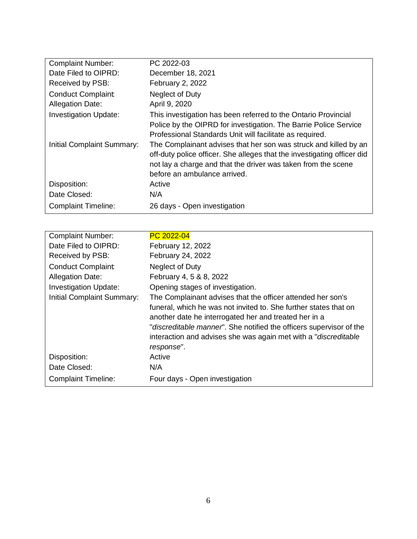| <b>Complaint Number:</b>     | PC 2022-03                                                                                                                                                                                                                                   |
|------------------------------|----------------------------------------------------------------------------------------------------------------------------------------------------------------------------------------------------------------------------------------------|
| Date Filed to OIPRD:         | December 18, 2021                                                                                                                                                                                                                            |
| Received by PSB:             | February 2, 2022                                                                                                                                                                                                                             |
| <b>Conduct Complaint</b>     | Neglect of Duty                                                                                                                                                                                                                              |
| <b>Allegation Date:</b>      | April 9, 2020                                                                                                                                                                                                                                |
| <b>Investigation Update:</b> | This investigation has been referred to the Ontario Provincial<br>Police by the OIPRD for investigation. The Barrie Police Service<br>Professional Standards Unit will facilitate as required.                                               |
| Initial Complaint Summary:   | The Complainant advises that her son was struck and killed by an<br>off-duty police officer. She alleges that the investigating officer did<br>not lay a charge and that the driver was taken from the scene<br>before an ambulance arrived. |
| Disposition:                 | Active                                                                                                                                                                                                                                       |
| Date Closed:                 | N/A                                                                                                                                                                                                                                          |
| <b>Complaint Timeline:</b>   | 26 days - Open investigation                                                                                                                                                                                                                 |

| <b>Complaint Number:</b>     | PC 2022-04                                                                |
|------------------------------|---------------------------------------------------------------------------|
| Date Filed to OIPRD:         | February 12, 2022                                                         |
| Received by PSB:             | February 24, 2022                                                         |
| <b>Conduct Complaint</b>     | Neglect of Duty                                                           |
| <b>Allegation Date:</b>      | February 4, 5 & 8, 2022                                                   |
| <b>Investigation Update:</b> | Opening stages of investigation.                                          |
| Initial Complaint Summary:   | The Complainant advises that the officer attended her son's               |
|                              | funeral, which he was not invited to. She further states that on          |
|                              | another date he interrogated her and treated her in a                     |
|                              | "discreditable manner". She notified the officers supervisor of the       |
|                              | interaction and advises she was again met with a " <i>discreditable</i> " |
|                              | response".                                                                |
| Disposition:                 | Active                                                                    |
| Date Closed:                 | N/A                                                                       |
| <b>Complaint Timeline:</b>   | Four days - Open investigation                                            |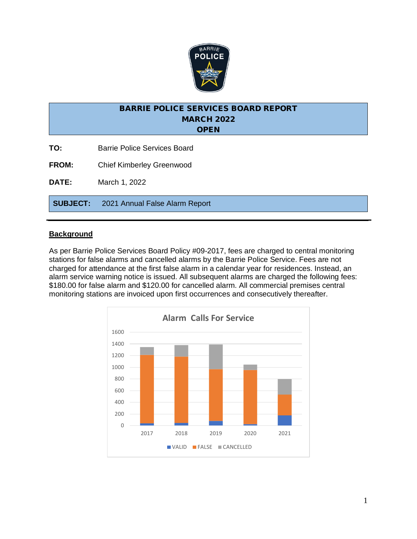

- **TO:** Barrie Police Services Board
- **FROM:** Chief Kimberley Greenwood

**DATE:** March 1, 2022

**SUBJECT:** 2021 Annual False Alarm Report

#### **Background**

As per Barrie Police Services Board Policy #09-2017, fees are charged to central monitoring stations for false alarms and cancelled alarms by the Barrie Police Service. Fees are not charged for attendance at the first false alarm in a calendar year for residences. Instead, an alarm service warning notice is issued. All subsequent alarms are charged the following fees: \$180.00 for false alarm and \$120.00 for cancelled alarm. All commercial premises central monitoring stations are invoiced upon first occurrences and consecutively thereafter.

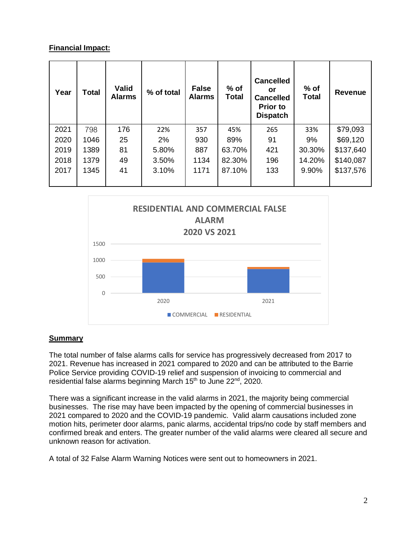## **Financial Impact:**

| Year | <b>Total</b> | <b>Valid</b><br><b>Alarms</b> | % of total | <b>False</b><br><b>Alarms</b> | $%$ of<br><b>Total</b> | <b>Cancelled</b><br>or<br><b>Cancelled</b><br><b>Prior to</b><br><b>Dispatch</b> | $%$ of<br><b>Total</b> | <b>Revenue</b> |
|------|--------------|-------------------------------|------------|-------------------------------|------------------------|----------------------------------------------------------------------------------|------------------------|----------------|
| 2021 | 798          | 176                           | 22%        | 357                           | 45%                    | 265                                                                              | 33%                    | \$79,093       |
| 2020 | 1046         | 25                            | 2%         | 930                           | 89%                    | 91                                                                               | 9%                     | \$69,120       |
| 2019 | 1389         | 81                            | 5.80%      | 887                           | 63.70%                 | 421                                                                              | 30.30%                 | \$137,640      |
| 2018 | 1379         | 49                            | 3.50%      | 1134                          | 82.30%                 | 196                                                                              | 14.20%                 | \$140,087      |
| 2017 | 1345         | 41                            | 3.10%      | 1171                          | 87.10%                 | 133                                                                              | 9.90%                  | \$137,576      |



## **Summary**

The total number of false alarms calls for service has progressively decreased from 2017 to 2021. Revenue has increased in 2021 compared to 2020 and can be attributed to the Barrie Police Service providing COVID-19 relief and suspension of invoicing to commercial and residential false alarms beginning March 15<sup>th</sup> to June 22<sup>nd</sup>, 2020.

There was a significant increase in the valid alarms in 2021, the majority being commercial businesses. The rise may have been impacted by the opening of commercial businesses in 2021 compared to 2020 and the COVID-19 pandemic. Valid alarm causations included zone motion hits, perimeter door alarms, panic alarms, accidental trips/no code by staff members and confirmed break and enters. The greater number of the valid alarms were cleared all secure and unknown reason for activation.

A total of 32 False Alarm Warning Notices were sent out to homeowners in 2021.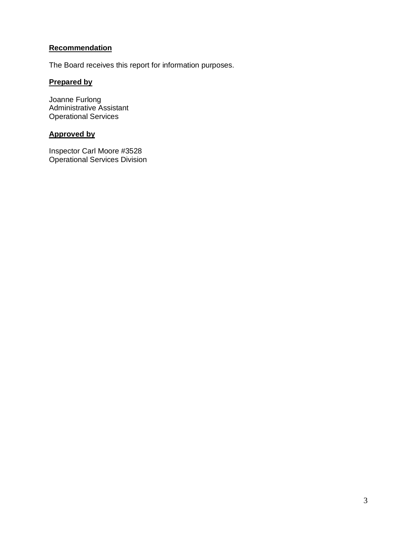## **Recommendation**

The Board receives this report for information purposes.

## **Prepared by**

Joanne Furlong Administrative Assistant Operational Services

## **Approved by**

Inspector Carl Moore #3528 Operational Services Division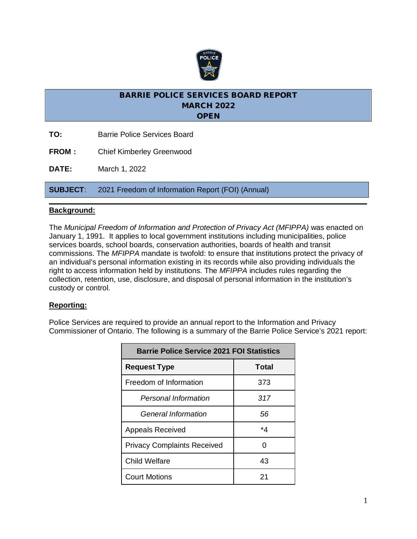

- **TO:** Barrie Police Services Board
- **FROM:** Chief Kimberley Greenwood

**DATE:** March 1, 2022

**SUBJECT**: 2021 Freedom of Information Report (FOI) (Annual)

#### **Background:**

The *Municipal Freedom of Information and Protection of Privacy Act (MFIPPA)* was enacted on January 1, 1991. It applies to local government institutions including municipalities, police services boards, school boards, conservation authorities, boards of health and transit commissions. The *MFIPPA* mandate is twofold: to ensure that institutions protect the privacy of an individual's personal information existing in its records while also providing individuals the right to access information held by institutions. The *MFIPPA* includes rules regarding the collection, retention, use, disclosure, and disposal of personal information in the institution's custody or control.

#### **Reporting:**

Police Services are required to provide an annual report to the Information and Privacy Commissioner of Ontario. The following is a summary of the Barrie Police Service's 2021 report:

| <b>Barrie Police Service 2021 FOI Statistics</b> |       |  |  |  |
|--------------------------------------------------|-------|--|--|--|
| <b>Request Type</b>                              | Total |  |  |  |
| Freedom of Information                           | 373   |  |  |  |
| Personal Information                             | 317   |  |  |  |
| General Information                              | 56    |  |  |  |
| <b>Appeals Received</b>                          | *4    |  |  |  |
| <b>Privacy Complaints Received</b>               | 0     |  |  |  |
| Child Welfare                                    | 43    |  |  |  |
| <b>Court Motions</b>                             | 21    |  |  |  |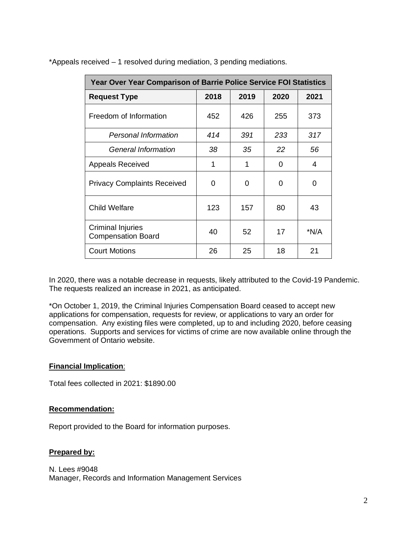| <b>Year Over Year Comparison of Barrie Police Service FOI Statistics</b> |      |      |      |      |  |
|--------------------------------------------------------------------------|------|------|------|------|--|
| <b>Request Type</b>                                                      | 2018 | 2019 | 2020 | 2021 |  |
| Freedom of Information                                                   | 452  | 426  | 255  | 373  |  |
| <b>Personal Information</b>                                              | 414  | 391  | 233  | 317  |  |
| General Information                                                      | 38   | 35   | 22   | 56   |  |
| <b>Appeals Received</b>                                                  | 1    | 1    | 0    | 4    |  |
| <b>Privacy Complaints Received</b>                                       | 0    | ∩    | 0    | 0    |  |
| <b>Child Welfare</b>                                                     | 123  | 157  | 80   | 43   |  |
| <b>Criminal Injuries</b><br><b>Compensation Board</b>                    | 40   | 52   | 17   | *N/A |  |
| <b>Court Motions</b>                                                     | 26   | 25   | 18   | 21   |  |

\*Appeals received – 1 resolved during mediation, 3 pending mediations.

In 2020, there was a notable decrease in requests, likely attributed to the Covid-19 Pandemic. The requests realized an increase in 2021, as anticipated.

\*On October 1, 2019, the Criminal Injuries Compensation Board ceased to accept new applications for compensation, requests for review, or applications to vary an order for compensation. Any existing files were completed, up to and including 2020, before ceasing operations. Supports and services for victims of crime are now available online through the Government of Ontario website.

#### **Financial Implication**:

Total fees collected in 2021: \$1890.00

#### **Recommendation:**

Report provided to the Board for information purposes.

#### **Prepared by:**

N. Lees #9048 Manager, Records and Information Management Services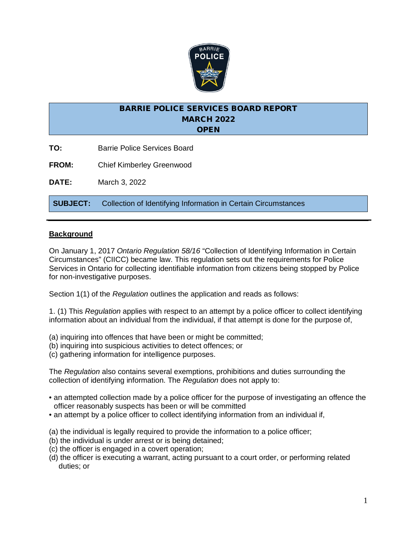

- **TO:** Barrie Police Services Board
- **FROM:** Chief Kimberley Greenwood

**DATE:** March 3, 2022

**SUBJECT:** Collection of Identifying Information in Certain Circumstances

#### **Background**

On January 1, 2017 *Ontario Regulation 58/16* "Collection of Identifying Information in Certain Circumstances" (CIICC) became law. This regulation sets out the requirements for Police Services in Ontario for collecting identifiable information from citizens being stopped by Police for non-investigative purposes.

Section 1(1) of the *Regulation* outlines the application and reads as follows:

1. (1) This *Regulation* applies with respect to an attempt by a police officer to collect identifying information about an individual from the individual, if that attempt is done for the purpose of,

- (a) inquiring into offences that have been or might be committed;
- (b) inquiring into suspicious activities to detect offences; or
- (c) gathering information for intelligence purposes.

The *Regulation* also contains several exemptions, prohibitions and duties surrounding the collection of identifying information. The *Regulation* does not apply to:

- an attempted collection made by a police officer for the purpose of investigating an offence the officer reasonably suspects has been or will be committed
- an attempt by a police officer to collect identifying information from an individual if,
- (a) the individual is legally required to provide the information to a police officer;
- (b) the individual is under arrest or is being detained;
- (c) the officer is engaged in a covert operation;
- (d) the officer is executing a warrant, acting pursuant to a court order, or performing related duties; or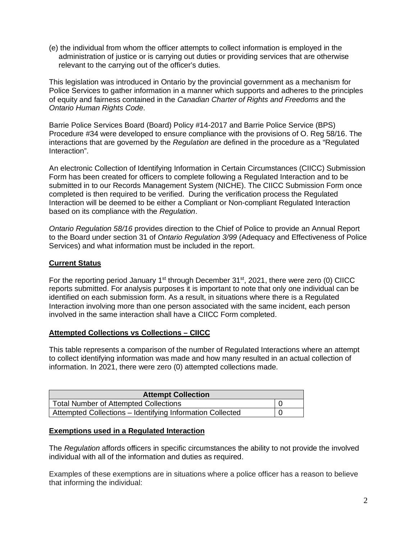(e) the individual from whom the officer attempts to collect information is employed in the administration of justice or is carrying out duties or providing services that are otherwise relevant to the carrying out of the officer's duties.

This legislation was introduced in Ontario by the provincial government as a mechanism for Police Services to gather information in a manner which supports and adheres to the principles of equity and fairness contained in the *Canadian Charter of Rights and Freedoms* and the *Ontario Human Rights Code*.

Barrie Police Services Board (Board) Policy #14-2017 and Barrie Police Service (BPS) Procedure #34 were developed to ensure compliance with the provisions of O. Reg 58/16. The interactions that are governed by the *Regulation* are defined in the procedure as a "Regulated Interaction".

An electronic Collection of Identifying Information in Certain Circumstances (CIICC) Submission Form has been created for officers to complete following a Regulated Interaction and to be submitted in to our Records Management System (NICHE). The CIICC Submission Form once completed is then required to be verified. During the verification process the Regulated Interaction will be deemed to be either a Compliant or Non-compliant Regulated Interaction based on its compliance with the *Regulation*.

*Ontario Regulation 58/16* provides direction to the Chief of Police to provide an Annual Report to the Board under section 31 of *Ontario Regulation 3/99* (Adequacy and Effectiveness of Police Services) and what information must be included in the report.

#### **Current Status**

For the reporting period January 1<sup>st</sup> through December 31<sup>st</sup>, 2021, there were zero (0) CIICC reports submitted. For analysis purposes it is important to note that only one individual can be identified on each submission form. As a result, in situations where there is a Regulated Interaction involving more than one person associated with the same incident, each person involved in the same interaction shall have a CIICC Form completed.

#### **Attempted Collections vs Collections – CIICC**

This table represents a comparison of the number of Regulated Interactions where an attempt to collect identifying information was made and how many resulted in an actual collection of information. In 2021, there were zero (0) attempted collections made.

| <b>Attempt Collection</b>                                 |  |
|-----------------------------------------------------------|--|
| <b>Total Number of Attempted Collections</b>              |  |
| Attempted Collections - Identifying Information Collected |  |

#### **Exemptions used in a Regulated Interaction**

The *Regulation* affords officers in specific circumstances the ability to not provide the involved individual with all of the information and duties as required.

Examples of these exemptions are in situations where a police officer has a reason to believe that informing the individual: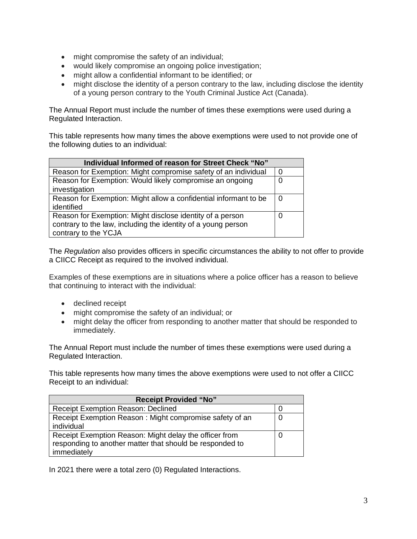- might compromise the safety of an individual;
- would likely compromise an ongoing police investigation;
- might allow a confidential informant to be identified; or
- might disclose the identity of a person contrary to the law, including disclose the identity of a young person contrary to the Youth Criminal Justice Act (Canada).

The Annual Report must include the number of times these exemptions were used during a Regulated Interaction.

This table represents how many times the above exemptions were used to not provide one of the following duties to an individual:

| Individual Informed of reason for Street Check "No"              |                |  |  |  |
|------------------------------------------------------------------|----------------|--|--|--|
| Reason for Exemption: Might compromise safety of an individual   | $\overline{0}$ |  |  |  |
| Reason for Exemption: Would likely compromise an ongoing         | $\overline{0}$ |  |  |  |
| investigation                                                    |                |  |  |  |
| Reason for Exemption: Might allow a confidential informant to be | 0              |  |  |  |
| identified                                                       |                |  |  |  |
| Reason for Exemption: Might disclose identity of a person        | 0              |  |  |  |
| contrary to the law, including the identity of a young person    |                |  |  |  |
| contrary to the YCJA                                             |                |  |  |  |

The *Regulation* also provides officers in specific circumstances the ability to not offer to provide a CIICC Receipt as required to the involved individual.

Examples of these exemptions are in situations where a police officer has a reason to believe that continuing to interact with the individual:

- declined receipt
- might compromise the safety of an individual; or
- might delay the officer from responding to another matter that should be responded to immediately.

The Annual Report must include the number of times these exemptions were used during a Regulated Interaction.

This table represents how many times the above exemptions were used to not offer a CIICC Receipt to an individual:

| <b>Receipt Provided "No"</b>                             |   |  |  |  |
|----------------------------------------------------------|---|--|--|--|
| <b>Receipt Exemption Reason: Declined</b>                | U |  |  |  |
| Receipt Exemption Reason: Might compromise safety of an  | O |  |  |  |
| individual                                               |   |  |  |  |
| Receipt Exemption Reason: Might delay the officer from   | U |  |  |  |
| responding to another matter that should be responded to |   |  |  |  |
| immediately                                              |   |  |  |  |

In 2021 there were a total zero (0) Regulated Interactions.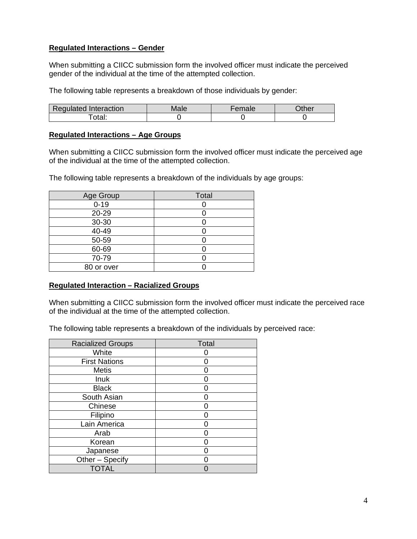#### **Regulated Interactions – Gender**

When submitting a CIICC submission form the involved officer must indicate the perceived gender of the individual at the time of the attempted collection.

The following table represents a breakdown of those individuals by gender:

| Regulated Interaction | Male | <b>Lemale</b> | <b>her</b> |
|-----------------------|------|---------------|------------|
| otal:                 |      |               |            |

#### **Regulated Interactions – Age Groups**

When submitting a CIICC submission form the involved officer must indicate the perceived age of the individual at the time of the attempted collection.

The following table represents a breakdown of the individuals by age groups:

| Age Group  | Total |
|------------|-------|
| $0 - 19$   |       |
| 20-29      |       |
| 30-30      |       |
| $40 - 49$  |       |
| $50 - 59$  |       |
| 60-69      |       |
| 70-79      |       |
| 80 or over |       |

#### **Regulated Interaction – Racialized Groups**

When submitting a CIICC submission form the involved officer must indicate the perceived race of the individual at the time of the attempted collection.

The following table represents a breakdown of the individuals by perceived race:

| <b>Racialized Groups</b> | <b>Total</b> |
|--------------------------|--------------|
| White                    |              |
| <b>First Nations</b>     |              |
| <b>Metis</b>             |              |
| Inuk                     |              |
| <b>Black</b>             |              |
| South Asian              |              |
| Chinese                  |              |
| Filipino                 |              |
| Lain America             |              |
| Arab                     |              |
| Korean                   |              |
| Japanese                 |              |
| Other - Specify          |              |
| <b>TOTAL</b>             |              |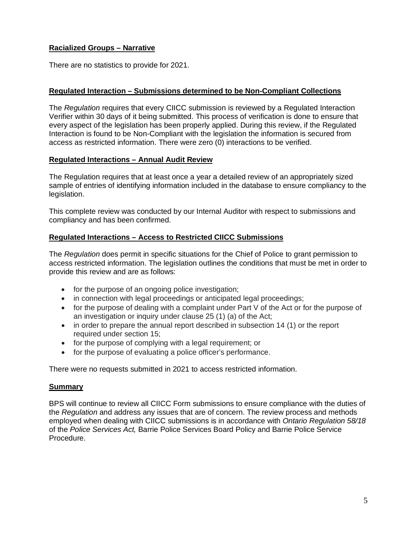## **Racialized Groups – Narrative**

There are no statistics to provide for 2021.

#### **Regulated Interaction – Submissions determined to be Non-Compliant Collections**

The *Regulation* requires that every CIICC submission is reviewed by a Regulated Interaction Verifier within 30 days of it being submitted. This process of verification is done to ensure that every aspect of the legislation has been properly applied. During this review, if the Regulated Interaction is found to be Non-Compliant with the legislation the information is secured from access as restricted information. There were zero (0) interactions to be verified.

#### **Regulated Interactions – Annual Audit Review**

The Regulation requires that at least once a year a detailed review of an appropriately sized sample of entries of identifying information included in the database to ensure compliancy to the legislation.

This complete review was conducted by our Internal Auditor with respect to submissions and compliancy and has been confirmed.

#### **Regulated Interactions – Access to Restricted CIICC Submissions**

The *Regulation* does permit in specific situations for the Chief of Police to grant permission to access restricted information. The legislation outlines the conditions that must be met in order to provide this review and are as follows:

- for the purpose of an ongoing police investigation;
- in connection with legal proceedings or anticipated legal proceedings;
- for the purpose of dealing with a complaint under Part V of the Act or for the purpose of an investigation or inquiry under clause 25 (1) (a) of the Act;
- in order to prepare the annual report described in subsection 14 (1) or the report required under section 15;
- for the purpose of complying with a legal requirement; or
- for the purpose of evaluating a police officer's performance.

There were no requests submitted in 2021 to access restricted information.

#### **Summary**

BPS will continue to review all CIICC Form submissions to ensure compliance with the duties of the *Regulation* and address any issues that are of concern. The review process and methods employed when dealing with CIICC submissions is in accordance with *Ontario Regulation 58/18*  of the *Police Services Act,* Barrie Police Services Board Policy and Barrie Police Service Procedure.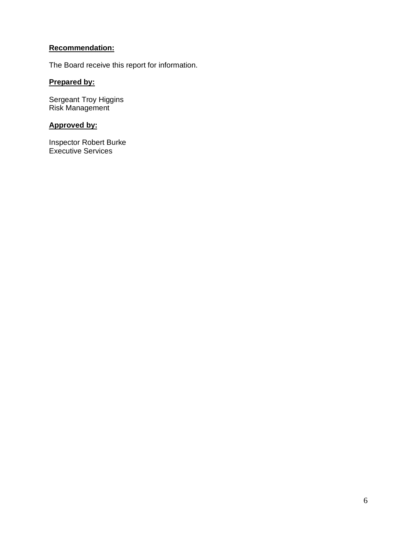## **Recommendation:**

The Board receive this report for information.

## **Prepared by:**

Sergeant Troy Higgins Risk Management

## **Approved by:**

Inspector Robert Burke Executive Services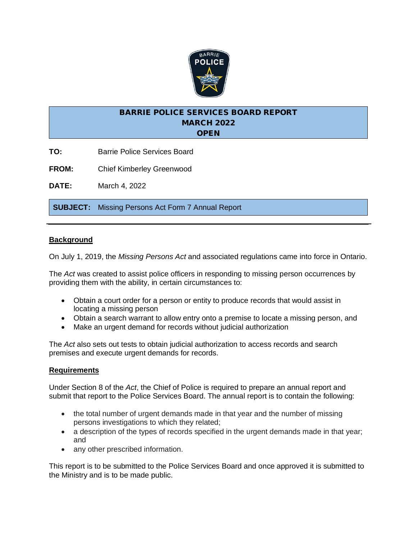

- **TO:** Barrie Police Services Board
- **FROM:** Chief Kimberley Greenwood

**DATE:** March 4, 2022

**SUBJECT:** Missing Persons Act Form 7 Annual Report

#### **Background**

On July 1, 2019, the *Missing Persons Act* and associated regulations came into force in Ontario.

The *Act* was created to assist police officers in responding to missing person occurrences by providing them with the ability, in certain circumstances to:

- Obtain a court order for a person or entity to produce records that would assist in locating a missing person
- Obtain a search warrant to allow entry onto a premise to locate a missing person, and
- Make an urgent demand for records without judicial authorization

The *Act* also sets out tests to obtain judicial authorization to access records and search premises and execute urgent demands for records.

#### **Requirements**

Under Section 8 of the *Act*, the Chief of Police is required to prepare an annual report and submit that report to the Police Services Board. The annual report is to contain the following:

- the total number of urgent demands made in that year and the number of missing persons investigations to which they related;
- a description of the types of records specified in the urgent demands made in that year; and
- any other prescribed information.

This report is to be submitted to the Police Services Board and once approved it is submitted to the Ministry and is to be made public.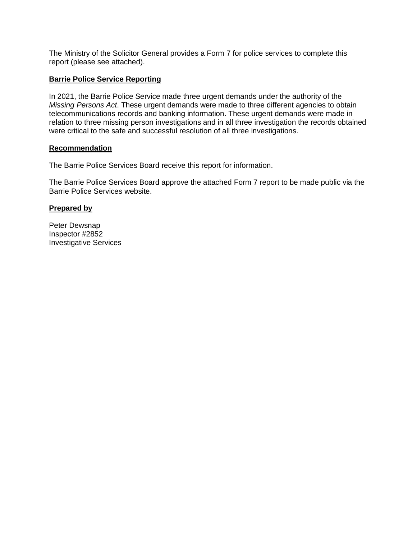The Ministry of the Solicitor General provides a Form 7 for police services to complete this report (please see attached).

#### **Barrie Police Service Reporting**

In 2021, the Barrie Police Service made three urgent demands under the authority of the *Missing Persons Act*. These urgent demands were made to three different agencies to obtain telecommunications records and banking information. These urgent demands were made in relation to three missing person investigations and in all three investigation the records obtained were critical to the safe and successful resolution of all three investigations.

#### **Recommendation**

The Barrie Police Services Board receive this report for information.

The Barrie Police Services Board approve the attached Form 7 report to be made public via the Barrie Police Services website.

#### **Prepared by**

Peter Dewsnap Inspector #2852 Investigative Services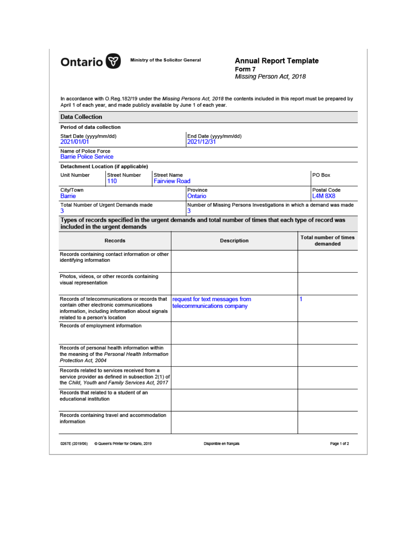

Ministry of the Solicitor General

#### **Annual Report Template** Form 7 Missing Person Act, 2018

In accordance with O.Reg.182/19 under the Missing Persons Act, 2018 the contents included in this report must be prepared by April 1 of each year, and made publicly available by June 1 of each year.

| <b>Data Collection</b>                                                                                                                                                         |                                                                                                                                                    |                                            |                                     |                                                                                                         |   |                                          |
|--------------------------------------------------------------------------------------------------------------------------------------------------------------------------------|----------------------------------------------------------------------------------------------------------------------------------------------------|--------------------------------------------|-------------------------------------|---------------------------------------------------------------------------------------------------------|---|------------------------------------------|
| Period of data collection                                                                                                                                                      |                                                                                                                                                    |                                            |                                     |                                                                                                         |   |                                          |
| Start Date (yyyy/mm/dd)<br>2021/01/01                                                                                                                                          |                                                                                                                                                    |                                            | End Date (yyyy/mm/dd)<br>2021/12/31 |                                                                                                         |   |                                          |
| Name of Police Force<br><b>Barrie Police Service</b>                                                                                                                           |                                                                                                                                                    |                                            |                                     |                                                                                                         |   |                                          |
|                                                                                                                                                                                | <b>Detachment Location (if applicable)</b>                                                                                                         |                                            |                                     |                                                                                                         |   |                                          |
| Unit Number                                                                                                                                                                    | <b>Street Number</b><br>110                                                                                                                        | <b>Street Name</b><br><b>Fairview Road</b> |                                     |                                                                                                         |   | PO Box                                   |
| City/Town<br>Barrie                                                                                                                                                            |                                                                                                                                                    |                                            |                                     | Province<br>Ontario                                                                                     |   | Postal Code<br><b>L4M8X8</b>             |
| 3                                                                                                                                                                              | Total Number of Urgent Demands made                                                                                                                |                                            |                                     | Number of Missing Persons Investigations in which a demand was made                                     |   |                                          |
|                                                                                                                                                                                | included in the urgent demands                                                                                                                     |                                            |                                     | Types of records specified in the urgent demands and total number of times that each type of record was |   |                                          |
|                                                                                                                                                                                | Records                                                                                                                                            |                                            |                                     | <b>Description</b>                                                                                      |   | <b>Total number of times</b><br>demanded |
| identifying information                                                                                                                                                        | Records containing contact information or other                                                                                                    |                                            |                                     |                                                                                                         |   |                                          |
| visual representation                                                                                                                                                          | Photos, videos, or other records containing                                                                                                        |                                            |                                     |                                                                                                         |   |                                          |
| Records of telecommunications or records that<br>contain other electronic communications<br>information, including information about signals<br>related to a person's location |                                                                                                                                                    |                                            |                                     | request for text messages from<br>telecommunications company                                            | 1 |                                          |
| Records of employment information                                                                                                                                              |                                                                                                                                                    |                                            |                                     |                                                                                                         |   |                                          |
| Protection Act. 2004                                                                                                                                                           | Records of personal health information within<br>the meaning of the Personal Health Information                                                    |                                            |                                     |                                                                                                         |   |                                          |
|                                                                                                                                                                                | Records related to services received from a<br>service provider as defined in subsection 2(1) of<br>the Child, Youth and Family Services Act, 2017 |                                            |                                     |                                                                                                         |   |                                          |
| educational institution                                                                                                                                                        | Records that related to a student of an                                                                                                            |                                            |                                     |                                                                                                         |   |                                          |
| information                                                                                                                                                                    | Records containing travel and accommodation                                                                                                        |                                            |                                     |                                                                                                         |   |                                          |
| 0267E (2019/06)                                                                                                                                                                | C Queen's Printer for Ontario, 2019                                                                                                                |                                            |                                     | Disponible en français                                                                                  |   | Page 1 of 2                              |